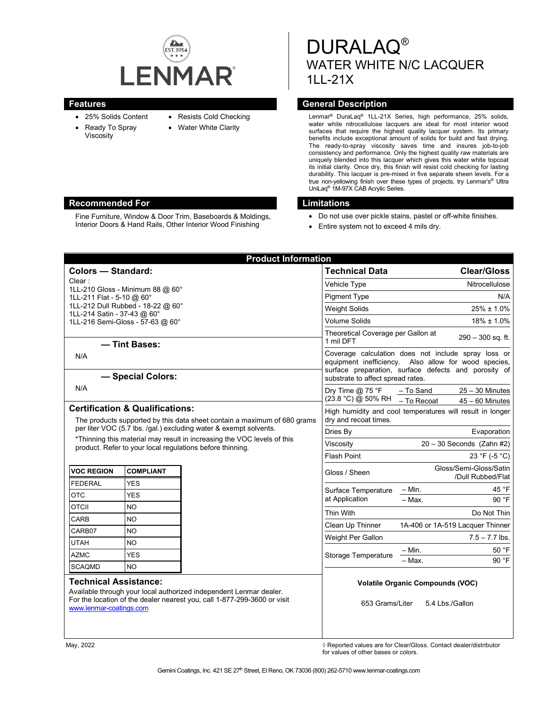

- 25% Solids Content
- Resists Cold Checking
- Ready To Spray Viscosity
- Water White Clarity
- 

Fine Furniture, Window & Door Trim, Baseboards & Moldings, Interior Doors & Hand Rails, Other Interior Wood Finishing

DURALAQ® WATER WHITE N/C LACQUER 1LL-21X

### **Features General Description**

Lenmar® DuraLaq® 1LL-21X Series, high performance, 25% solids, water white nitrocellulose lacquers are ideal for most interior wood surfaces that require the highest quality lacquer system. Its primary benefits include exceptional amount of solids for build and fast drying. The ready-to-spray viscosity saves time and insures job-to-job consistency and performance. Only the highest quality raw materials are uniquely blended into this lacquer which gives this water white topcoat its initial clarity. Once dry, this finish will resist cold checking for lasting durability. This lacquer is pre-mixed in five separate sheen levels. For a true non-yellowing finish over these types of projects, try Lenmar's® Ultra UniLaq® 1M-97X CAB Acrylic Series.

#### **Recommended For Limitations**

- Do not use over pickle stains, pastel or off-white finishes.
- Entire system not to exceed 4 mils dry.

|                                                                                                                                                                                                           |                  | <b>Product Information</b>                                               |                                                                                                                                                                                                          |                                                                    |
|-----------------------------------------------------------------------------------------------------------------------------------------------------------------------------------------------------------|------------------|--------------------------------------------------------------------------|----------------------------------------------------------------------------------------------------------------------------------------------------------------------------------------------------------|--------------------------------------------------------------------|
| <b>Colors - Standard:</b>                                                                                                                                                                                 |                  |                                                                          | <b>Technical Data</b>                                                                                                                                                                                    | <b>Clear/Gloss</b>                                                 |
| Clear:                                                                                                                                                                                                    |                  |                                                                          | Vehicle Type                                                                                                                                                                                             | Nitrocellulose                                                     |
| 1LL-210 Gloss - Minimum 88 @ 60°<br>1LL-211 Flat - 5-10 @ 60°                                                                                                                                             |                  |                                                                          | <b>Pigment Type</b>                                                                                                                                                                                      | N/A                                                                |
| 1LL-212 Dull Rubbed - 18-22 @ 60°                                                                                                                                                                         |                  |                                                                          | <b>Weight Solids</b>                                                                                                                                                                                     | $25\% \pm 1.0\%$                                                   |
| 1LL-214 Satin - 37-43 @ 60°<br>1LL-216 Semi-Gloss - 57-63 @ 60°                                                                                                                                           |                  |                                                                          | <b>Volume Solids</b>                                                                                                                                                                                     | 18% ± 1.0%                                                         |
|                                                                                                                                                                                                           |                  |                                                                          | Theoretical Coverage per Gallon at                                                                                                                                                                       |                                                                    |
| - Tint Bases:                                                                                                                                                                                             |                  |                                                                          | 1 mil DFT                                                                                                                                                                                                | $290 - 300$ sq. ft.                                                |
| N/A                                                                                                                                                                                                       |                  |                                                                          | Coverage calculation does not include spray loss or<br>equipment inefficiency. Also allow for wood species,<br>surface preparation, surface defects and porosity of<br>substrate to affect spread rates. |                                                                    |
| - Special Colors:                                                                                                                                                                                         |                  |                                                                          |                                                                                                                                                                                                          |                                                                    |
| N/A                                                                                                                                                                                                       |                  |                                                                          | Dry Time $@$ 75 °F<br>(23.8 °C) @ 50% RH                                                                                                                                                                 | - To Sand<br>$25 - 30$ Minutes<br>- To Recoat<br>$45 - 60$ Minutes |
| <b>Certification &amp; Qualifications:</b><br>The products supported by this data sheet contain a maximum of 680 grams                                                                                    |                  |                                                                          | High humidity and cool temperatures will result in longer<br>dry and recoat times.                                                                                                                       |                                                                    |
| per liter VOC (5.7 lbs. /qal.) excluding water & exempt solvents.<br>*Thinning this material may result in increasing the VOC levels of this<br>product. Refer to your local regulations before thinning. |                  |                                                                          | Dries By                                                                                                                                                                                                 | Evaporation                                                        |
|                                                                                                                                                                                                           |                  |                                                                          | Viscosity                                                                                                                                                                                                | $20 - 30$ Seconds (Zahn #2)                                        |
|                                                                                                                                                                                                           |                  |                                                                          | <b>Flash Point</b>                                                                                                                                                                                       | 23 °F (-5 °C)                                                      |
| <b>VOC REGION</b>                                                                                                                                                                                         | <b>COMPLIANT</b> |                                                                          | Gloss / Sheen                                                                                                                                                                                            | Gloss/Semi-Gloss/Satin<br>/Dull Rubbed/Flat                        |
| <b>FEDERAL</b>                                                                                                                                                                                            | <b>YES</b>       |                                                                          | Surface Temperature<br>at Application                                                                                                                                                                    | 45 °F<br>$-$ Min.                                                  |
| <b>OTC</b>                                                                                                                                                                                                | <b>YES</b>       |                                                                          |                                                                                                                                                                                                          | $-$ Max.<br>90 °F                                                  |
| <b>OTCII</b>                                                                                                                                                                                              | NO               |                                                                          | Thin With                                                                                                                                                                                                | Do Not Thin                                                        |
| CARB                                                                                                                                                                                                      | NO               |                                                                          | Clean Up Thinner                                                                                                                                                                                         | 1A-406 or 1A-519 Lacquer Thinner                                   |
| CARB07                                                                                                                                                                                                    | NO.              |                                                                          | Weight Per Gallon                                                                                                                                                                                        | $7.5 - 7.7$ lbs.                                                   |
| <b>UTAH</b>                                                                                                                                                                                               | NO.              |                                                                          | Storage Temperature                                                                                                                                                                                      | 50 °F<br>– Min.                                                    |
| <b>AZMC</b>                                                                                                                                                                                               | <b>YES</b>       |                                                                          |                                                                                                                                                                                                          | 90 °F<br>$-$ Max.                                                  |
| <b>SCAQMD</b>                                                                                                                                                                                             | <b>NO</b>        |                                                                          |                                                                                                                                                                                                          |                                                                    |
| <b>Technical Assistance:</b>                                                                                                                                                                              |                  | Available through your local authorized independent Lenmar dealer.       | <b>Volatile Organic Compounds (VOC)</b>                                                                                                                                                                  |                                                                    |
| www.lenmar-coatings.com                                                                                                                                                                                   |                  | For the location of the dealer nearest you, call 1-877-299-3600 or visit | 653 Grams/Liter<br>5.4 Lbs./Gallon                                                                                                                                                                       |                                                                    |
|                                                                                                                                                                                                           |                  |                                                                          |                                                                                                                                                                                                          |                                                                    |

May, 2022 ◊ Reported values are for Clear/Gloss. Contact dealer/distributor for values of other bases or colors.